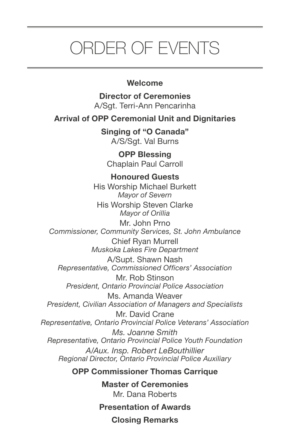# ORDER OF EVENTS

## **Welcome**

**Director of Ceremonies** A/Sgt. Terri-Ann Pencarinha

**Arrival of OPP Ceremonial Unit and Dignitaries**

**Singing of "O Canada"** A/S/Sgt. Val Burns

**OPP Blessing** Chaplain Paul Carroll

**Honoured Guests** His Worship Michael Burkett *Mayor of Severn* His Worship Steven Clarke *Mayor of Orillia* Mr. John Prno *Commissioner, Community Services, St. John Ambulance*

Chief Ryan Murrell *Muskoka Lakes Fire Department*

A/Supt. Shawn Nash *Representative, Commissioned Officers' Association*

Mr. Rob Stinson *President, Ontario Provincial Police Association*

Ms. Amanda Weaver *President, Civilian Association of Managers and Specialists*

Mr. David Crane *Representative, Ontario Provincial Police Veterans' Association Ms. Joanne Smith Representative, Ontario Provincial Police Youth Foundation A/Aux. Insp. Robert LeBouthillier Regional Director, Ontario Provincial Police Auxiliary*

**OPP Commissioner Thomas Carrique**

**Master of Ceremonies** Mr. Dana Roberts

**Presentation of Awards Closing Remarks**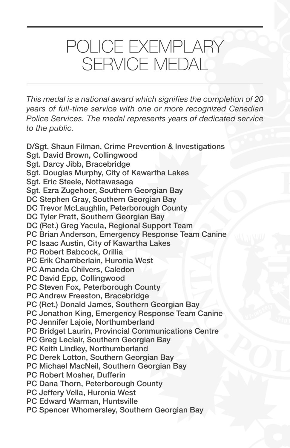## POLICE EXEMPLARY SERVICE MEDAL

*This medal is a national award which signifies the completion of 20 years of full-time service with one or more recognized Canadian Police Services. The medal represents years of dedicated service to the public.*

D/Sgt. Shaun Filman, Crime Prevention & Investigations Sgt. David Brown, Collingwood Sgt. Darcy Jibb, Bracebridge Sgt. Douglas Murphy, City of Kawartha Lakes Sgt. Eric Steele, Nottawasaga Sgt. Ezra Zugehoer, Southern Georgian Bay DC Stephen Gray, Southern Georgian Bay DC Trevor McLaughlin, Peterborough County DC Tyler Pratt, Southern Georgian Bay DC (Ret.) Greg Yacula, Regional Support Team PC Brian Anderson, Emergency Response Team Canine PC Isaac Austin, City of Kawartha Lakes PC Robert Babcock, Orillia PC Erik Chamberlain, Huronia West PC Amanda Chilvers, Caledon PC David Epp, Collingwood PC Steven Fox, Peterborough County PC Andrew Freeston, Bracebridge PC (Ret.) Donald James, Southern Georgian Bay PC Jonathon King, Emergency Response Team Canine PC Jennifer Lajoie, Northumberland PC Bridget Laurin, Provincial Communications Centre PC Greg Leclair, Southern Georgian Bay PC Keith Lindley, Northumberland PC Derek Lotton, Southern Georgian Bay PC Michael MacNeil, Southern Georgian Bay PC Robert Mosher, Dufferin PC Dana Thorn, Peterborough County PC Jeffery Vella, Huronia West PC Edward Warman, Huntsville PC Spencer Whomersley, Southern Georgian Bay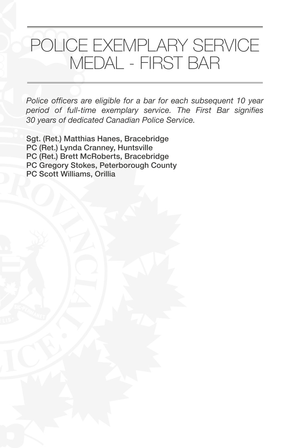# POLICE EXEMPLARY SERVICE MEDAL - FIRST BAR

*Police officers are eligible for a bar for each subsequent 10 year period of full-time exemplary service. The First Bar signifies 30 years of dedicated Canadian Police Service.*

Sgt. (Ret.) Matthias Hanes, Bracebridge PC (Ret.) Lynda Cranney, Huntsville PC (Ret.) Brett McRoberts, Bracebridge PC Gregory Stokes, Peterborough County PC Scott Williams, Orillia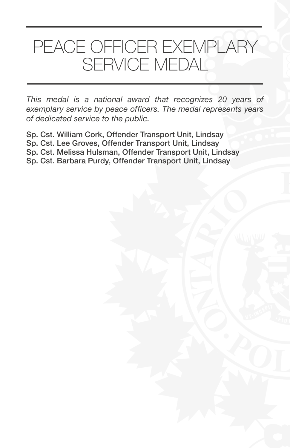# PEACE OFFICER EXEMPLARY SERVICE MEDAL

*This medal is a national award that recognizes 20 years of exemplary service by peace officers. The medal represents years of dedicated service to the public.*

Sp. Cst. William Cork, Offender Transport Unit, Lindsay Sp. Cst. Lee Groves, Offender Transport Unit, Lindsay Sp. Cst. Melissa Hulsman, Offender Transport Unit, Lindsay Sp. Cst. Barbara Purdy, Offender Transport Unit, Lindsay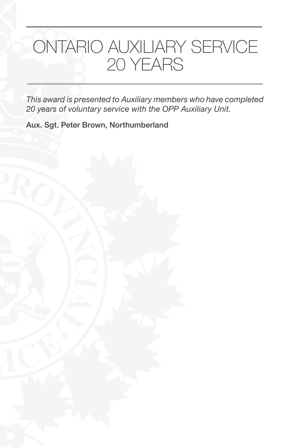# ONTARIO AUXILIARY SERVICE 20 YEARS

*This award is presented to Auxiliary members who have completed 20 years of voluntary service with the OPP Auxiliary Unit.*

Aux. Sgt. Peter Brown, Northumberland

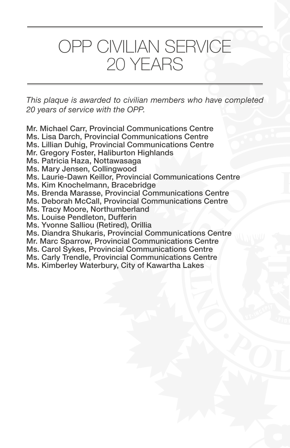## OPP CIVILIAN SERVICE 20 YEARS

*This plaque is awarded to civilian members who have completed 20 years of service with the OPP.*

- Mr. Michael Carr, Provincial Communications Centre
- Ms. Lisa Darch, Provincial Communications Centre
- Ms. Lillian Duhig, Provincial Communications Centre
- Mr. Gregory Foster, Haliburton Highlands
- Ms. Patricia Haza, Nottawasaga
- Ms. Mary Jensen, Collingwood
- Ms. Laurie-Dawn Keillor, Provincial Communications Centre
- Ms. Kim Knochelmann, Bracebridge
- Ms. Brenda Marasse, Provincial Communications Centre
- Ms. Deborah McCall, Provincial Communications Centre
- Ms. Tracy Moore, Northumberland
- Ms. Louise Pendleton, Dufferin
- Ms. Yvonne Salliou (Retired), Orillia
- Ms. Diandra Shukaris, Provincial Communications Centre
- Mr. Marc Sparrow, Provincial Communications Centre
- Ms. Carol Sykes, Provincial Communications Centre
- Ms. Carly Trendle, Provincial Communications Centre
- Ms. Kimberley Waterbury, City of Kawartha Lakes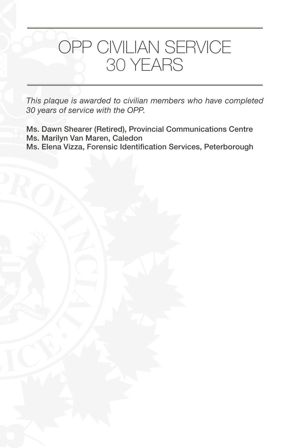## OPP CIVILIAN SERVICE 30 YEARS

*This plaque is awarded to civilian members who have completed 30 years of service with the OPP.*

Ms. Dawn Shearer (Retired), Provincial Communications Centre Ms. Marilyn Van Maren, Caledon Ms. Elena Vizza, Forensic Identification Services, Peterborough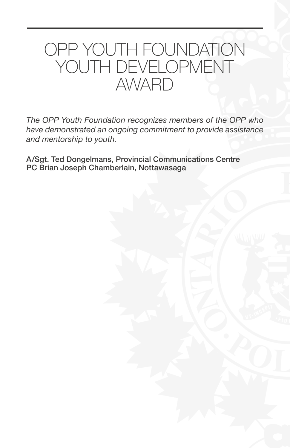

*The OPP Youth Foundation recognizes members of the OPP who have demonstrated an ongoing commitment to provide assistance and mentorship to youth.* 

A/Sgt. Ted Dongelmans, Provincial Communications Centre PC Brian Joseph Chamberlain, Nottawasaga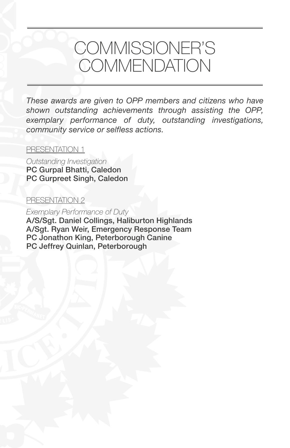## COMMISSIONER'S **COMMENDATION**

*These awards are given to OPP members and citizens who have shown outstanding achievements through assisting the OPP, exemplary performance of duty, outstanding investigations, community service or selfless actions.*

### PRESENTATION 1

*Outstanding Investigation* PC Gurpal Bhatti, Caledon PC Gurpreet Singh, Caledon

#### PRESENTATION 2

*Exemplary Performance of Duty* A/S/Sgt. Daniel Collings, Haliburton Highlands A/Sgt. Ryan Weir, Emergency Response Team PC Jonathon King, Peterborough Canine PC Jeffrey Quinlan, Peterborough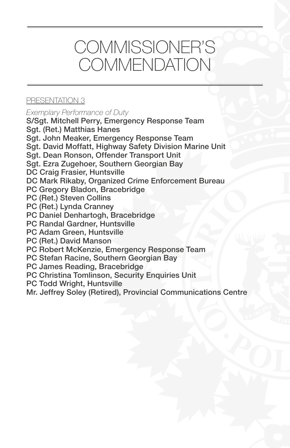# COMMISSIONER'S **COMMENDATION**

## PRESENTATION 3

*Exemplary Performance of Duty*

S/Sgt. Mitchell Perry, Emergency Response Team Sgt. (Ret.) Matthias Hanes Sgt. John Meaker, Emergency Response Team

Sgt. David Moffatt, Highway Safety Division Marine Unit

Sgt. Dean Ronson, Offender Transport Unit

Sgt. Ezra Zugehoer, Southern Georgian Bay

DC Craig Frasier, Huntsville

DC Mark Rikaby, Organized Crime Enforcement Bureau

PC Gregory Bladon, Bracebridge

PC (Ret.) Steven Collins

PC (Ret.) Lynda Cranney

PC Daniel Denhartogh, Bracebridge

PC Randal Gardner, Huntsville

PC Adam Green, Huntsville

PC (Ret.) David Manson

PC Robert McKenzie, Emergency Response Team

PC Stefan Racine, Southern Georgian Bay

PC James Reading, Bracebridge

PC Christina Tomlinson, Security Enquiries Unit

PC Todd Wright, Huntsville

Mr. Jeffrey Soley (Retired), Provincial Communications Centre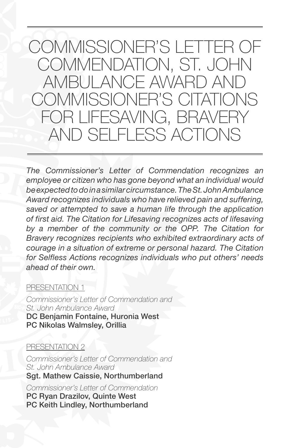*The Commissioner's Letter of Commendation recognizes an employee or citizen who has gone beyond what an individual would be expected to do in a similar circumstance. The St. John Ambulance Award recognizes individuals who have relieved pain and suffering, saved or attempted to save a human life through the application of first aid. The Citation for Lifesaving recognizes acts of lifesaving by a member of the community or the OPP. The Citation for Bravery recognizes recipients who exhibited extraordinary acts of courage in a situation of extreme or personal hazard. The Citation for Selfless Actions recognizes individuals who put others' needs ahead of their own.*

#### PRESENTATION 1

*Commissioner's Letter of Commendation and St. John Ambulance Award* DC Benjamin Fontaine, Huronia West PC Nikolas Walmsley, Orillia

#### PRESENTATION 2

*Commissioner's Letter of Commendation and St. John Ambulance Award* Sgt. Mathew Caissie, Northumberland

*Commissioner's Letter of Commendation* PC Ryan Drazilov, Quinte West PC Keith Lindley, Northumberland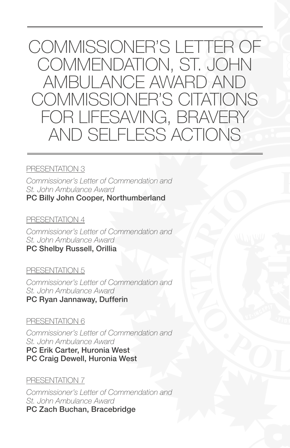## PRESENTATION 3

*Commissioner's Letter of Commendation and St. John Ambulance Award* PC Billy John Cooper, Northumberland

#### PRESENTATION 4

*Commissioner's Letter of Commendation and St. John Ambulance Award* PC Shelby Russell, Orillia

## PRESENTATION 5

*Commissioner's Letter of Commendation and St. John Ambulance Award* PC Ryan Jannaway, Dufferin

## PRESENTATION 6

*Commissioner's Letter of Commendation and St. John Ambulance Award* PC Erik Carter, Huronia West

PC Craig Dewell, Huronia West

## PRESENTATION 7

*Commissioner's Letter of Commendation and St. John Ambulance Award* PC Zach Buchan, Bracebridge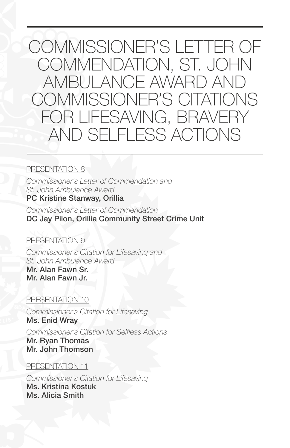#### PRESENTATION 8

*Commissioner's Letter of Commendation and St. John Ambulance Award* PC Kristine Stanway, Orillia

*Commissioner's Letter of Commendation* DC Jay Pilon, Orillia Community Street Crime Unit

## PRESENTATION 9

*Commissioner's Citation for Lifesaving and St. John Ambulance Award*

Mr. Alan Fawn Sr. Mr. Alan Fawn Jr.

## PRESENTATION 10

*Commissioner's Citation for Lifesaving*  Ms. Enid Wray

*Commissioner's Citation for Selfless Actions* Mr. Ryan Thomas Mr. John Thomson

## PRESENTATION 11

*Commissioner's Citation for Lifesaving*  Ms. Kristina Kostuk Ms. Alicia Smith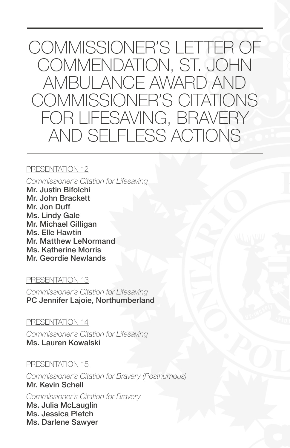#### PRESENTATION 12

*Commissioner's Citation for Lifesaving*  Mr. Justin Bifolchi Mr. John Brackett Mr. Jon Duff Ms. Lindy Gale

Mr. Michael Gilligan Ms. Elle Hawtin Mr. Matthew LeNormand Ms. Katherine Morris Mr. Geordie Newlands

#### PRESENTATION 13

*Commissioner's Citation for Lifesaving*  PC Jennifer Lajoie, Northumberland

## PRESENTATION 14

*Commissioner's Citation for Lifesaving*  Ms. Lauren Kowalski

## PRESENTATION 15

*Commissioner's Citation for Bravery (Posthumous)* Mr. Kevin Schell *Commissioner's Citation for Bravery* Ms. Julia McLauglin Ms. Jessica Pletch Ms. Darlene Sawyer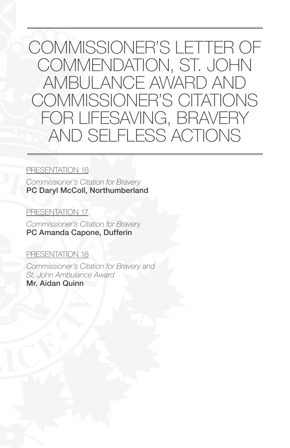#### PRESENTATION 16

*Commissioner's Citation for Bravery* PC Daryl McColl, Northumberland

#### PRESENTATION 17

*Commissioner's Citation for Bravery* PC Amanda Capone, Dufferin

#### PRESENTATION 18

*Commissioner's Citation for Bravery and St. John Ambulance Award* Mr. Aidan Quinn